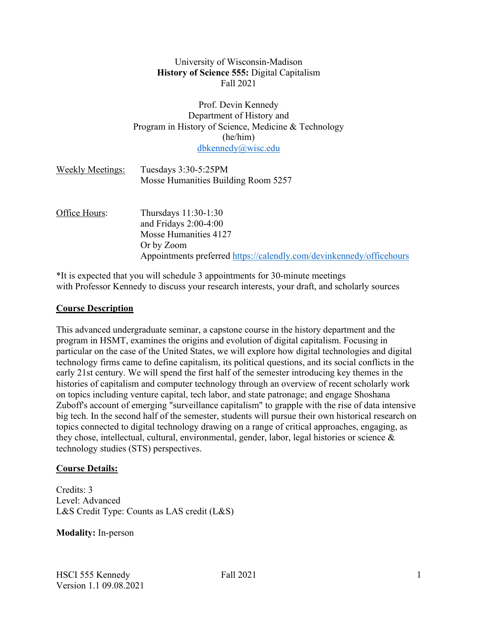## University of Wisconsin-Madison **History of Science 555:** Digital Capitalism Fall 2021

### Prof. Devin Kennedy Department of History and Program in History of Science, Medicine & Technology (he/him) dbkennedy@wisc.edu

| <b>Weekly Meetings:</b> | Tuesdays 3:30-5:25PM<br>Mosse Humanities Building Room 5257          |
|-------------------------|----------------------------------------------------------------------|
| Office Hours:           | Thursdays 11:30-1:30                                                 |
|                         | and Fridays $2:00-4:00$<br>Mosse Humanities 4127<br>Or by Zoom       |
|                         | Appointments preferred https://calendly.com/devinkennedy/officehours |

\*It is expected that you will schedule 3 appointments for 30-minute meetings with Professor Kennedy to discuss your research interests, your draft, and scholarly sources

### **Course Description**

This advanced undergraduate seminar, a capstone course in the history department and the program in HSMT, examines the origins and evolution of digital capitalism. Focusing in particular on the case of the United States, we will explore how digital technologies and digital technology firms came to define capitalism, its political questions, and its social conflicts in the early 21st century. We will spend the first half of the semester introducing key themes in the histories of capitalism and computer technology through an overview of recent scholarly work on topics including venture capital, tech labor, and state patronage; and engage Shoshana Zuboff's account of emerging "surveillance capitalism" to grapple with the rise of data intensive big tech. In the second half of the semester, students will pursue their own historical research on topics connected to digital technology drawing on a range of critical approaches, engaging, as they chose, intellectual, cultural, environmental, gender, labor, legal histories or science & technology studies (STS) perspectives.

## **Course Details:**

Credits: 3 Level: Advanced L&S Credit Type: Counts as LAS credit (L&S)

## **Modality:** In-person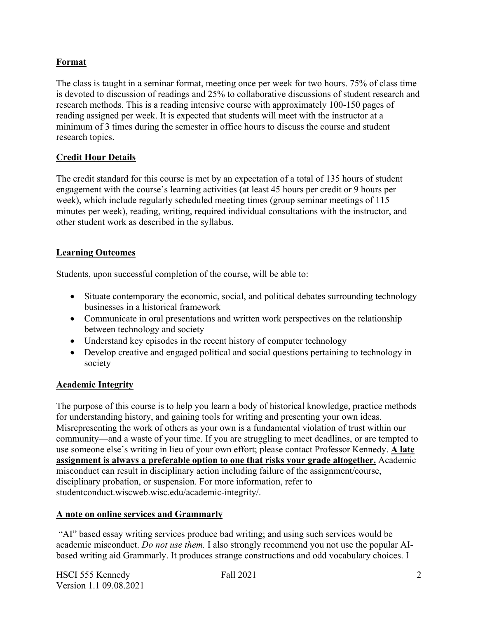# **Format**

The class is taught in a seminar format, meeting once per week for two hours. 75% of class time is devoted to discussion of readings and 25% to collaborative discussions of student research and research methods. This is a reading intensive course with approximately 100-150 pages of reading assigned per week. It is expected that students will meet with the instructor at a minimum of 3 times during the semester in office hours to discuss the course and student research topics.

## **Credit Hour Details**

The credit standard for this course is met by an expectation of a total of 135 hours of student engagement with the course's learning activities (at least 45 hours per credit or 9 hours per week), which include regularly scheduled meeting times (group seminar meetings of 115 minutes per week), reading, writing, required individual consultations with the instructor, and other student work as described in the syllabus.

## **Learning Outcomes**

Students, upon successful completion of the course, will be able to:

- Situate contemporary the economic, social, and political debates surrounding technology businesses in a historical framework
- Communicate in oral presentations and written work perspectives on the relationship between technology and society
- Understand key episodes in the recent history of computer technology
- Develop creative and engaged political and social questions pertaining to technology in society

## **Academic Integrity**

The purpose of this course is to help you learn a body of historical knowledge, practice methods for understanding history, and gaining tools for writing and presenting your own ideas. Misrepresenting the work of others as your own is a fundamental violation of trust within our community—and a waste of your time. If you are struggling to meet deadlines, or are tempted to use someone else's writing in lieu of your own effort; please contact Professor Kennedy. **A late assignment is always a preferable option to one that risks your grade altogether.** Academic misconduct can result in disciplinary action including failure of the assignment/course, disciplinary probation, or suspension. For more information, refer to studentconduct.wiscweb.wisc.edu/academic-integrity/.

## **A note on online services and Grammarly**

"AI" based essay writing services produce bad writing; and using such services would be academic misconduct. *Do not use them.* I also strongly recommend you not use the popular AIbased writing aid Grammarly. It produces strange constructions and odd vocabulary choices. I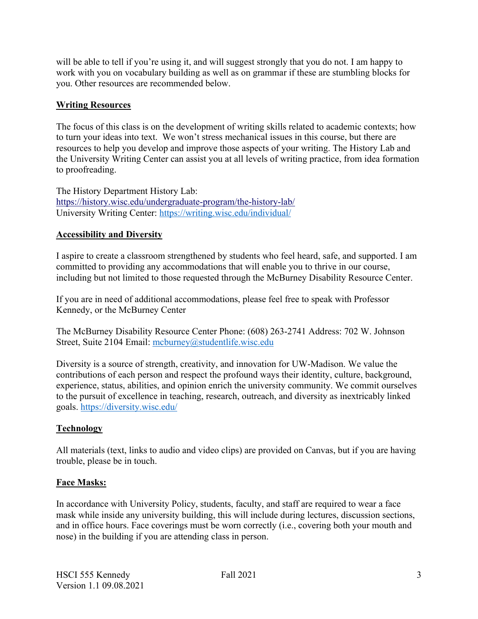will be able to tell if you're using it, and will suggest strongly that you do not. I am happy to work with you on vocabulary building as well as on grammar if these are stumbling blocks for you. Other resources are recommended below.

## **Writing Resources**

The focus of this class is on the development of writing skills related to academic contexts; how to turn your ideas into text. We won't stress mechanical issues in this course, but there are resources to help you develop and improve those aspects of your writing. The History Lab and the University Writing Center can assist you at all levels of writing practice, from idea formation to proofreading.

The History Department History Lab: https://history.wisc.edu/undergraduate-program/the-history-lab/ University Writing Center: https://writing.wisc.edu/individual/

# **Accessibility and Diversity**

I aspire to create a classroom strengthened by students who feel heard, safe, and supported. I am committed to providing any accommodations that will enable you to thrive in our course, including but not limited to those requested through the McBurney Disability Resource Center.

If you are in need of additional accommodations, please feel free to speak with Professor Kennedy, or the McBurney Center

The McBurney Disability Resource Center Phone: (608) 263-2741 Address: 702 W. Johnson Street, Suite 2104 Email: mcburney@studentlife.wisc.edu

Diversity is a source of strength, creativity, and innovation for UW-Madison. We value the contributions of each person and respect the profound ways their identity, culture, background, experience, status, abilities, and opinion enrich the university community. We commit ourselves to the pursuit of excellence in teaching, research, outreach, and diversity as inextricably linked goals. https://diversity.wisc.edu/

## **Technology**

All materials (text, links to audio and video clips) are provided on Canvas, but if you are having trouble, please be in touch.

## **Face Masks:**

In accordance with University Policy, students, faculty, and staff are required to wear a face mask while inside any university building, this will include during lectures, discussion sections, and in office hours. Face coverings must be worn correctly (i.e., covering both your mouth and nose) in the building if you are attending class in person.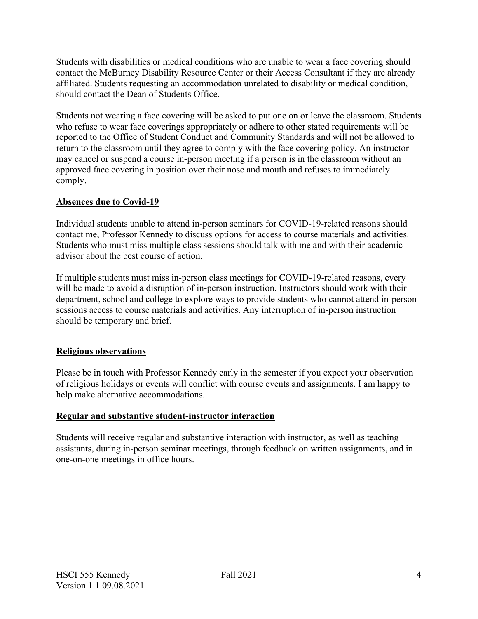Students with disabilities or medical conditions who are unable to wear a face covering should contact the McBurney Disability Resource Center or their Access Consultant if they are already affiliated. Students requesting an accommodation unrelated to disability or medical condition, should contact the Dean of Students Office.

Students not wearing a face covering will be asked to put one on or leave the classroom. Students who refuse to wear face coverings appropriately or adhere to other stated requirements will be reported to the Office of Student Conduct and Community Standards and will not be allowed to return to the classroom until they agree to comply with the face covering policy. An instructor may cancel or suspend a course in-person meeting if a person is in the classroom without an approved face covering in position over their nose and mouth and refuses to immediately comply.

## **Absences due to Covid-19**

Individual students unable to attend in-person seminars for COVID-19-related reasons should contact me, Professor Kennedy to discuss options for access to course materials and activities. Students who must miss multiple class sessions should talk with me and with their academic advisor about the best course of action.

If multiple students must miss in-person class meetings for COVID-19-related reasons, every will be made to avoid a disruption of in-person instruction. Instructors should work with their department, school and college to explore ways to provide students who cannot attend in-person sessions access to course materials and activities. Any interruption of in-person instruction should be temporary and brief.

# **Religious observations**

Please be in touch with Professor Kennedy early in the semester if you expect your observation of religious holidays or events will conflict with course events and assignments. I am happy to help make alternative accommodations.

## **Regular and substantive student-instructor interaction**

Students will receive regular and substantive interaction with instructor, as well as teaching assistants, during in-person seminar meetings, through feedback on written assignments, and in one-on-one meetings in office hours.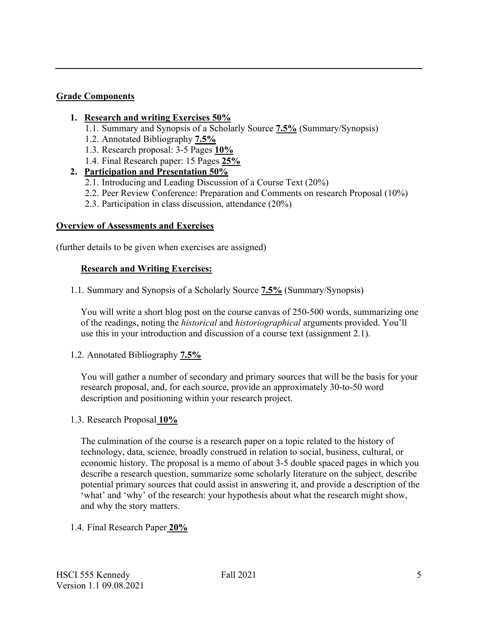### **Grade Components**

### **1. Research and writing Exercises 50%**

- 1.1. Summary and Synopsis of a Scholarly Source **7.5%** (Summary/Synopsis)
- 1.2. Annotated Bibliography **7.5%**
- 1.3. Research proposal: 3-5 Pages **10%**
- 1.4. Final Research paper: 15 Pages **25%**

# **2. Participation and Presentation 50%**

- 2.1. Introducing and Leading Discussion of a Course Text (20%)
- 2.2. Peer Review Conference: Preparation and Comments on research Proposal (10%)
- 2.3. Participation in class discussion, attendance (20%)

### **Overview of Assessments and Exercises**

(further details to be given when exercises are assigned)

## **Research and Writing Exercises:**

1.1. Summary and Synopsis of a Scholarly Source **7.5%** (Summary/Synopsis)

You will write a short blog post on the course canvas of 250-500 words, summarizing one of the readings, noting the *historical* and *historiographical* arguments provided. You'll use this in your introduction and discussion of a course text (assignment 2.1).

1.2. Annotated Bibliography **7.5%**

You will gather a number of secondary and primary sources that will be the basis for your research proposal, and, for each source, provide an approximately 30-to-50 word description and positioning within your research project.

1.3. Research Proposal **10%**

The culmination of the course is a research paper on a topic related to the history of technology, data, science, broadly construed in relation to social, business, cultural, or economic history. The proposal is a memo of about 3-5 double spaced pages in which you describe a research question, summarize some scholarly literature on the subject, describe potential primary sources that could assist in answering it, and provide a description of the 'what' and 'why' of the research: your hypothesis about what the research might show, and why the story matters.

## 1.4. Final Research Paper **20%**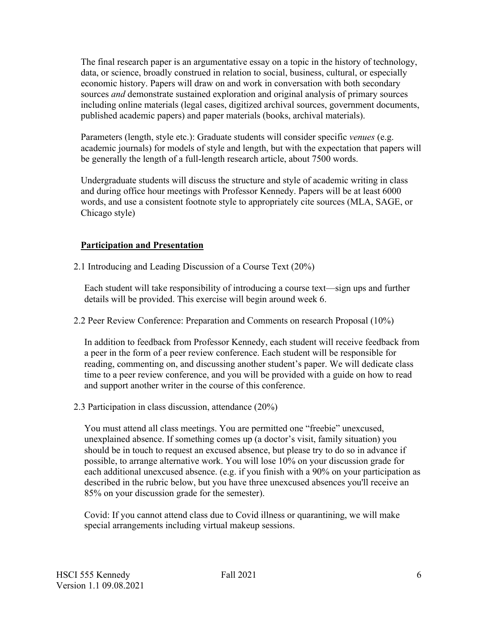The final research paper is an argumentative essay on a topic in the history of technology, data, or science, broadly construed in relation to social, business, cultural, or especially economic history. Papers will draw on and work in conversation with both secondary sources *and* demonstrate sustained exploration and original analysis of primary sources including online materials (legal cases, digitized archival sources, government documents, published academic papers) and paper materials (books, archival materials).

Parameters (length, style etc.): Graduate students will consider specific *venues* (e.g. academic journals) for models of style and length, but with the expectation that papers will be generally the length of a full-length research article, about 7500 words.

Undergraduate students will discuss the structure and style of academic writing in class and during office hour meetings with Professor Kennedy. Papers will be at least 6000 words, and use a consistent footnote style to appropriately cite sources (MLA, SAGE, or Chicago style)

# **Participation and Presentation**

2.1 Introducing and Leading Discussion of a Course Text (20%)

Each student will take responsibility of introducing a course text—sign ups and further details will be provided. This exercise will begin around week 6.

2.2 Peer Review Conference: Preparation and Comments on research Proposal (10%)

In addition to feedback from Professor Kennedy, each student will receive feedback from a peer in the form of a peer review conference. Each student will be responsible for reading, commenting on, and discussing another student's paper. We will dedicate class time to a peer review conference, and you will be provided with a guide on how to read and support another writer in the course of this conference.

2.3 Participation in class discussion, attendance (20%)

You must attend all class meetings. You are permitted one "freebie" unexcused, unexplained absence. If something comes up (a doctor's visit, family situation) you should be in touch to request an excused absence, but please try to do so in advance if possible, to arrange alternative work. You will lose 10% on your discussion grade for each additional unexcused absence. (e.g. if you finish with a 90% on your participation as described in the rubric below, but you have three unexcused absences you'll receive an 85% on your discussion grade for the semester).

Covid: If you cannot attend class due to Covid illness or quarantining, we will make special arrangements including virtual makeup sessions.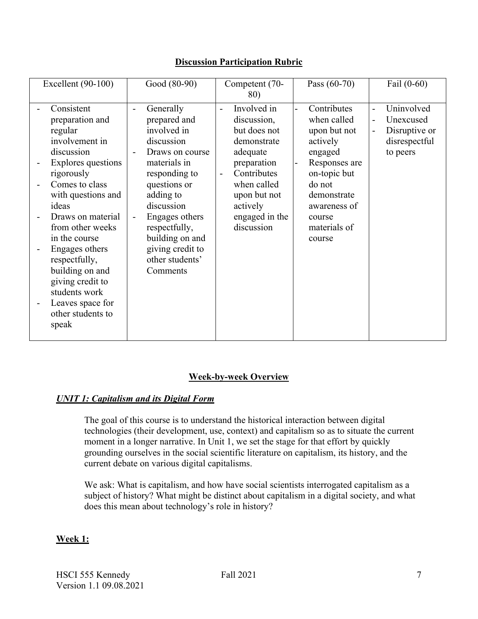| Excellent (90-100)                                                                                                                                                                                                                                                                                                                                                | Good (80-90)                                                                                                                                                                                                                                                                                       | Competent (70-                                                                                                                                                                                                                                | Pass $(60-70)$                                                                                                                                                                  | Fail $(0-60)$                                                                                                                                             |
|-------------------------------------------------------------------------------------------------------------------------------------------------------------------------------------------------------------------------------------------------------------------------------------------------------------------------------------------------------------------|----------------------------------------------------------------------------------------------------------------------------------------------------------------------------------------------------------------------------------------------------------------------------------------------------|-----------------------------------------------------------------------------------------------------------------------------------------------------------------------------------------------------------------------------------------------|---------------------------------------------------------------------------------------------------------------------------------------------------------------------------------|-----------------------------------------------------------------------------------------------------------------------------------------------------------|
|                                                                                                                                                                                                                                                                                                                                                                   |                                                                                                                                                                                                                                                                                                    |                                                                                                                                                                                                                                               |                                                                                                                                                                                 |                                                                                                                                                           |
| Consistent<br>preparation and<br>regular<br>involvement in<br>discussion<br>ä,<br>Explores questions<br>rigorously<br>Comes to class<br>with questions and<br>ideas<br>Draws on material<br>from other weeks<br>in the course<br>Engages others<br>respectfully,<br>building on and<br>giving credit to<br>students work<br>Leaves space for<br>other students to | Generally<br>$\overline{a}$<br>prepared and<br>involved in<br>discussion<br>Draws on course<br>materials in<br>responding to<br>questions or<br>adding to<br>discussion<br>Engages others<br>$\overline{a}$<br>respectfully,<br>building on and<br>giving credit to<br>other students'<br>Comments | 80)<br>Involved in<br>$\overline{\phantom{0}}$<br>discussion,<br>but does not<br>demonstrate<br>adequate<br>preparation<br>Contributes<br>$\overline{\phantom{0}}$<br>when called<br>upon but not<br>actively<br>engaged in the<br>discussion | Contributes<br>when called<br>upon but not<br>actively<br>engaged<br>Responses are<br>on-topic but<br>do not<br>demonstrate<br>awareness of<br>course<br>materials of<br>course | Uninvolved<br>$\overline{\phantom{0}}$<br>Unexcused<br>$\overline{\phantom{a}}$<br>Disruptive or<br>$\overline{\phantom{m}}$<br>disrespectful<br>to peers |
| speak                                                                                                                                                                                                                                                                                                                                                             |                                                                                                                                                                                                                                                                                                    |                                                                                                                                                                                                                                               |                                                                                                                                                                                 |                                                                                                                                                           |

# **Discussion Participation Rubric**

## **Week-by-week Overview**

# *UNIT 1: Capitalism and its Digital Form*

The goal of this course is to understand the historical interaction between digital technologies (their development, use, context) and capitalism so as to situate the current moment in a longer narrative. In Unit 1, we set the stage for that effort by quickly grounding ourselves in the social scientific literature on capitalism, its history, and the current debate on various digital capitalisms.

We ask: What is capitalism, and how have social scientists interrogated capitalism as a subject of history? What might be distinct about capitalism in a digital society, and what does this mean about technology's role in history?

## **Week 1:**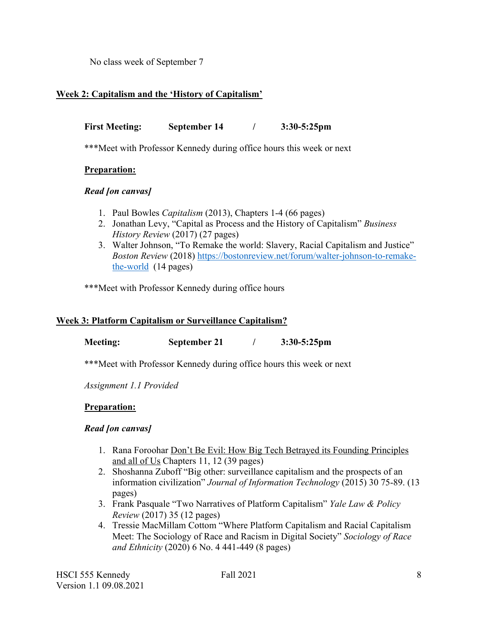No class week of September 7

## **Week 2: Capitalism and the 'History of Capitalism'**

**First Meeting: September 14 / 3:30-5:25pm**

\*\*\*Meet with Professor Kennedy during office hours this week or next

## **Preparation:**

### *Read [on canvas]*

- 1. Paul Bowles *Capitalism* (2013), Chapters 1-4 (66 pages)
- 2. Jonathan Levy, "Capital as Process and the History of Capitalism" *Business History Review* (2017) (27 pages)
- 3. Walter Johnson, "To Remake the world: Slavery, Racial Capitalism and Justice" *Boston Review* (2018) https://bostonreview.net/forum/walter-johnson-to-remakethe-world (14 pages)

\*\*\*Meet with Professor Kennedy during office hours

## **Week 3: Platform Capitalism or Surveillance Capitalism?**

**Meeting: September 21 / 3:30-5:25pm**

\*\*\*Meet with Professor Kennedy during office hours this week or next

*Assignment 1.1 Provided*

## **Preparation:**

## *Read [on canvas]*

- 1. Rana Foroohar Don't Be Evil: How Big Tech Betrayed its Founding Principles and all of Us Chapters 11, 12 (39 pages)
- 2. Shoshanna Zuboff "Big other: surveillance capitalism and the prospects of an information civilization" *Journal of Information Technology* (2015) 30 75-89. (13 pages)
- 3. Frank Pasquale "Two Narratives of Platform Capitalism" *Yale Law & Policy Review* (2017) 35 (12 pages)
- 4. Tressie MacMillam Cottom "Where Platform Capitalism and Racial Capitalism Meet: The Sociology of Race and Racism in Digital Society" *Sociology of Race and Ethnicity* (2020) 6 No. 4 441-449 (8 pages)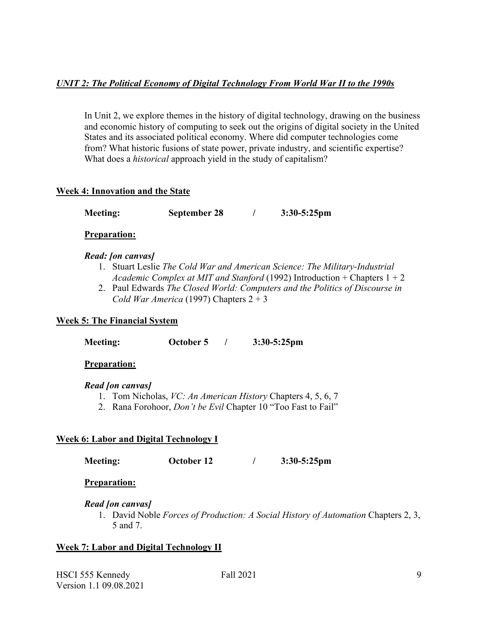# *UNIT 2: The Political Economy of Digital Technology From World War II to the 1990s*

In Unit 2, we explore themes in the history of digital technology, drawing on the business and economic history of computing to seek out the origins of digital society in the United States and its associated political economy. Where did computer technologies come from? What historic fusions of state power, private industry, and scientific expertise? What does a *historical* approach yield in the study of capitalism?

## **Week 4: Innovation and the State**

**Meeting: September 28 / 3:30-5:25pm**

#### **Preparation:**

### *Read: [on canvas]*

- 1. Stuart Leslie *The Cold War and American Science: The Military-Industrial Academic Complex at MIT and Stanford* (1992) Introduction + Chapters 1 + 2
- 2. Paul Edwards *The Closed World: Computers and the Politics of Discourse in Cold War America* (1997) Chapters  $2 + 3$

## **Week 5: The Financial System**

**Meeting: October 5 / 3:30-5:25pm**

## **Preparation:**

#### *Read [on canvas]*

- 1. Tom Nicholas, *VC: An American History* Chapters 4, 5, 6, 7
- 2. Rana Forohoor, *Don't be Evil* Chapter 10 "Too Fast to Fail"

## **Week 6: Labor and Digital Technology I**

**Meeting: October 12 / 3:30-5:25pm**

**Preparation:**

#### *Read [on canvas]*

1. David Noble *Forces of Production: A Social History of Automation* Chapters 2, 3, 5 and 7.

## **Week 7: Labor and Digital Technology II**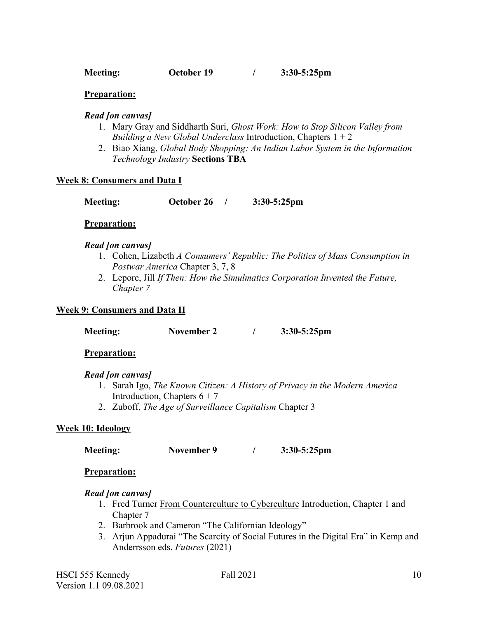**Meeting: October 19 / 3:30-5:25pm**

#### **Preparation:**

#### *Read [on canvas]*

- 1. Mary Gray and Siddharth Suri, *Ghost Work: How to Stop Silicon Valley from Building a New Global Underclass* Introduction, Chapters 1 + 2
- 2. Biao Xiang, *Global Body Shopping: An Indian Labor System in the Information Technology Industry* **Sections TBA**

#### **Week 8: Consumers and Data I**

**Meeting: October 26 / 3:30-5:25pm**

#### **Preparation:**

#### *Read [on canvas]*

- 1. Cohen, Lizabeth *A Consumers' Republic: The Politics of Mass Consumption in Postwar America* Chapter 3, 7, 8
- 2. Lepore, Jill *If Then: How the Simulmatics Corporation Invented the Future, Chapter 7*

#### **Week 9: Consumers and Data II**

**Meeting: November 2 / 3:30-5:25pm**

#### **Preparation:**

#### *Read [on canvas]*

- 1. Sarah Igo, *The Known Citizen: A History of Privacy in the Modern America* Introduction, Chapters  $6 + 7$
- 2. Zuboff, *The Age of Surveillance Capitalism* Chapter 3

#### **Week 10: Ideology**

**Meeting: November 9 / 3:30-5:25pm**

#### **Preparation:**

#### *Read [on canvas]*

- 1. Fred Turner From Counterculture to Cyberculture Introduction, Chapter 1 and Chapter 7
- 2. Barbrook and Cameron "The Californian Ideology"
- 3. Arjun Appadurai "The Scarcity of Social Futures in the Digital Era" in Kemp and Anderrsson eds. *Futures* (2021)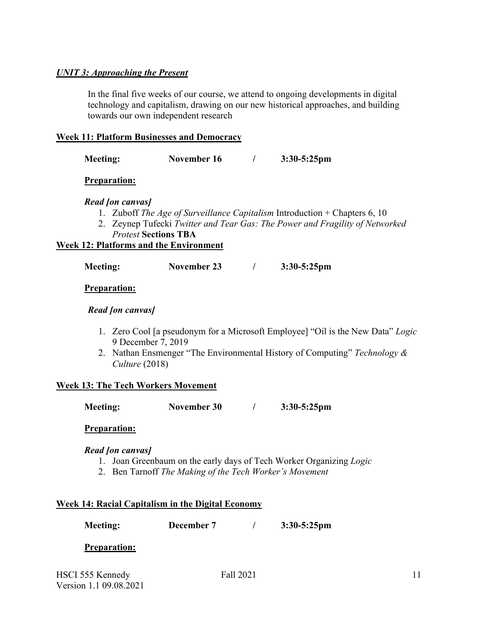## *UNIT 3: Approaching the Present*

In the final five weeks of our course, we attend to ongoing developments in digital technology and capitalism, drawing on our new historical approaches, and building towards our own independent research

### **Week 11: Platform Businesses and Democracy**

| <b>Meeting:</b> | November 16 | $3:30-5:25$ pm |
|-----------------|-------------|----------------|
|                 |             |                |

**Preparation:**

*Read [on canvas]*

- 1. Zuboff *The Age of Surveillance Capitalism* Introduction + Chapters 6, 10
- 2. Zeynep Tufecki *Twitter and Tear Gas: The Power and Fragility of Networked Protest* **Sections TBA**

#### **Week 12: Platforms and the Environment**

| <b>Meeting:</b> | November 23 | $3:30-5:25$ pm |
|-----------------|-------------|----------------|
|                 |             |                |

**Preparation:**

#### *Read [on canvas]*

- 1. Zero Cool [a pseudonym for a Microsoft Employee] "Oil is the New Data" *Logic*  9 December 7, 2019
- 2. Nathan Ensmenger "The Environmental History of Computing" *Technology & Culture* (2018)

### **Week 13: The Tech Workers Movement**

**Meeting: November 30 / 3:30-5:25pm**

#### **Preparation:**

#### *Read [on canvas]*

- 1. Joan Greenbaum on the early days of Tech Worker Organizing *Logic*
- 2. Ben Tarnoff *The Making of the Tech Worker's Movement*

#### **Week 14: Racial Capitalism in the Digital Economy**

**Meeting: December 7 / 3:30-5:25pm**

#### **Preparation:**